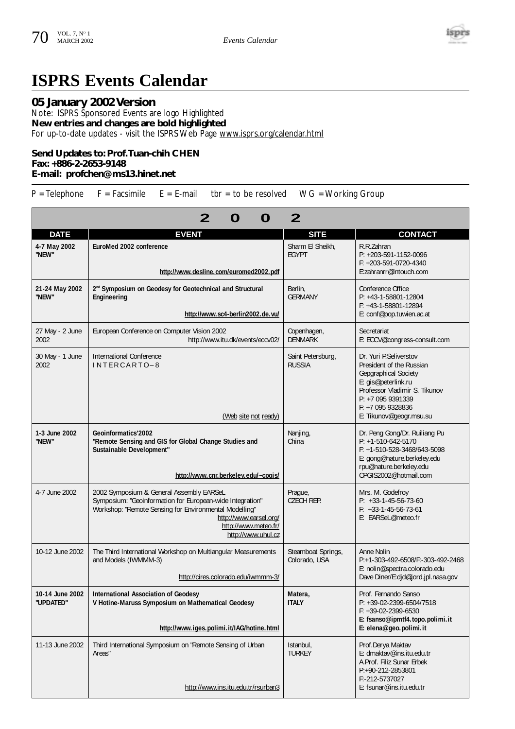

## **ISPRS Events Calendar**

## **05 January 2002 Version**

Note: ISPRS Sponsored Events are logo Highlighted **New entries and changes are bold highlighted**  For up-to-date updates - visit the ISPRS Web Page www.isprs.org/calendar.html

## **Send Updates to: Prof.Tuan-chih CHEN Fax: +886-2-2653-9148 E-mail: profchen@ms13.hinet.net**

 $P =$  Telephone  $F =$  Facsimile  $E = E$ -mail tbr = to be resolved WG = Working Group

| O<br>2<br>O                  |                                                                                                                                                                                                                                         |                                     |                                                                                                                                                                                                         |  |  |
|------------------------------|-----------------------------------------------------------------------------------------------------------------------------------------------------------------------------------------------------------------------------------------|-------------------------------------|---------------------------------------------------------------------------------------------------------------------------------------------------------------------------------------------------------|--|--|
| <b>DATE</b>                  | <b>EVENT</b>                                                                                                                                                                                                                            | <b>SITE</b>                         | <b>CONTACT</b>                                                                                                                                                                                          |  |  |
| 4-7 May 2002<br>"NEW"        | EuroMed 2002 conference<br>http://www.desline.com/euromed2002.pdf                                                                                                                                                                       | Sharm El Sheikh.<br><b>FGYPT</b>    | R.R.Zahran<br>P: +203-591-1152-0096<br>F: +203-591-0720-4340<br>E:zahranrr@Intouch.com                                                                                                                  |  |  |
| 21-24 May 2002<br>"NEW"      | 2 <sup>nd</sup> Symposium on Geodesy for Geotechnical and Structural<br>Engineering<br>http://www.sc4-berlin2002.de.vu/                                                                                                                 | Berlin.<br><b>GERMANY</b>           | Conference Office<br>P: +43-1-58801-12804<br>F: +43-1-58801-12894<br>E: conf@pop.tuwien.ac.at                                                                                                           |  |  |
| 27 May - 2 June<br>2002      | European Conference on Computer Vision 2002<br>http://www.itu.dk/events/eccv02/                                                                                                                                                         | Copenhagen,<br><b>DENMARK</b>       | Secretariat<br>E: ECCV@congress-consult.com                                                                                                                                                             |  |  |
| 30 May - 1 June<br>2002      | International Conference<br>$INTERCART0-8$<br>(Web site not ready)                                                                                                                                                                      | Saint Petersburg,<br><b>RUSSIA</b>  | Dr. Yuri P.Seliverstov<br>President of the Russian<br>Gepgraphical Society<br>E: gis@peterlink.ru<br>Professor Vladimir S. Tikunov<br>P: +7 095 9391339<br>F: +7 095 9328836<br>E: Tikunov@geogr.msu.su |  |  |
| 1-3 June 2002<br>"NEW"       | Geoinformatics'2002<br>"Remote Sensing and GIS for Global Change Studies and<br>Sustainable Development"<br>http://www.cnr.berkeley.edu/~cpgis/                                                                                         | Nanjing,<br>China                   | Dr. Peng Gong/Dr. Ruiliang Pu<br>$P: +1-510-642-5170$<br>F: +1-510-528-3468/643-5098<br>E: gong@nature.berkeley.edu<br>rpu@nature.berkeley.edu<br>CPGIS2002@hotmail.com                                 |  |  |
| 4-7 June 2002                | 2002 Symposium & General Assembly EARSeL<br>Symposium: "Geoinformation for European-wide Integration"<br>Workshop: "Remote Sensing for Environmental Modelling"<br>http://www.earsel.org/<br>http://www.meteo.fr/<br>http://www.uhul.cz | Praque,<br><b>CZECH REP.</b>        | Mrs. M. Godefroy<br>$P: +33-1-45-56-73-60$<br>$F: +33-1-45-56-73-61$<br>E: EARSeL@meteo.fr                                                                                                              |  |  |
| 10-12 June 2002              | The Third International Workshop on Multiangular Measurements<br>and Models (IWMMM-3)<br>http://cires.colorado.edu/iwmmm-3/                                                                                                             | Steamboat Springs,<br>Colorado, USA | Anne Nolin<br>P:+1-303-492-6508/F:-303-492-2468<br>E: nolin@spectra.colorado.edu<br>Dave Diner/E:djd@jord.jpl.nasa.gov                                                                                  |  |  |
| 10-14 June 2002<br>"UPDATED" | <b>International Association of Geodesy</b><br>V Hotine-Maruss Symposium on Mathematical Geodesy<br>http://www.iges.polimi.it/IAG/hotine.html                                                                                           | Matera,<br><b>ITALY</b>             | Prof. Fernando Sanso<br>P: +39-02-2399-6504/7518<br>$F: +39-02-2399-6530$<br>E: fsanso@ipmtf4.topo.polimi.it<br>E: elena@geo.polimi.it                                                                  |  |  |
| 11-13 June 2002              | Third International Symposium on "Remote Sensing of Urban<br>Areas"<br>http://www.ins.itu.edu.tr/rsurban3                                                                                                                               | Istanbul.<br><b>TURKEY</b>          | Prof.Derya Maktav<br>E: dmaktav@ins.itu.edu.tr<br>A.Prof. Filiz Sunar Erbek<br>P:+90-212-2853801<br>F:-212-5737027<br>E: fsunar@ins.itu.edu.tr                                                          |  |  |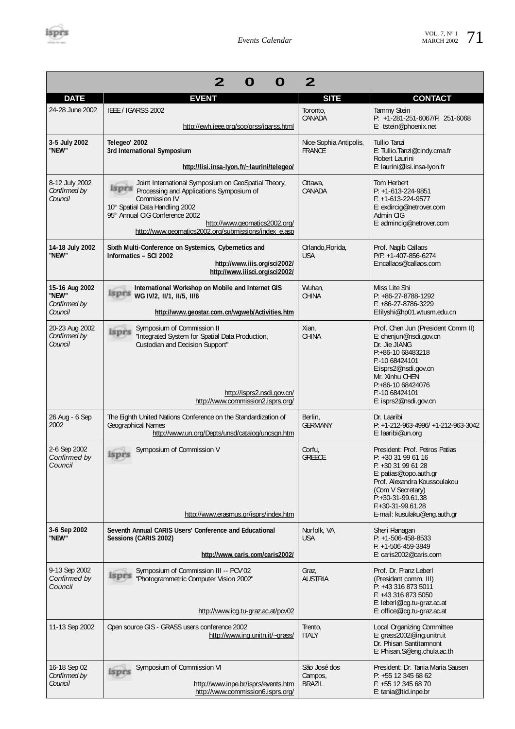

| 2<br>2                                             |                                                                                                                                                                                                                                                                                                                       |                                          |                                                                                                                                                                                                                                           |  |  |
|----------------------------------------------------|-----------------------------------------------------------------------------------------------------------------------------------------------------------------------------------------------------------------------------------------------------------------------------------------------------------------------|------------------------------------------|-------------------------------------------------------------------------------------------------------------------------------------------------------------------------------------------------------------------------------------------|--|--|
| <b>DATE</b>                                        | <b>EVENT</b>                                                                                                                                                                                                                                                                                                          | <b>SITE</b>                              | <b>CONTACT</b>                                                                                                                                                                                                                            |  |  |
| 24-28 June 2002                                    | IEEE / IGARSS 2002<br>http://ewh.ieee.org/soc/grss/igarss.html                                                                                                                                                                                                                                                        | Toronto,<br>CANADA                       | <b>Tammy Stein</b><br>P: +1-281-251-6067/F: 251-6068<br>E: tstein@phoenix.net                                                                                                                                                             |  |  |
| 3-5 July 2002<br>"NEW"                             | Telegeo' 2002<br>3rd International Symposium<br>http://lisi.insa-lyon.fr/~laurini/telegeo/                                                                                                                                                                                                                            | Nice-Sophia Antipolis,<br><b>FRANCE</b>  | Tullio Tanzi<br>E: Tullio.Tanzi@cindy.cma.fr<br>Robert Laurini<br>E: laurini@lisi.insa-lyon.fr                                                                                                                                            |  |  |
| 8-12 July 2002<br>Confirmed by<br>Council          | Joint International Symposium on GeoSpatial Theory,<br><b>Expire</b> Processing and Applications Symposium of<br>Commission IV<br>10 <sup>th</sup> Spatial Data Handling 2002<br>95 <sup>th</sup> Annual CIG Conference 2002<br>http://www.geomatics2002.org/<br>http://www.geomatics2002.org/submissions/index_e.asp | Ottawa,<br>CANADA                        | Tom Herbert<br>$P: +1-613-224-9851$<br>$F: +1-613-224-9577$<br>E: exdircig@netrover.com<br>Admin CIG<br>E: admincig@netrover.com                                                                                                          |  |  |
| 14-18 July 2002<br>"NEW"                           | Sixth Multi-Conference on Systemics, Cybernetics and<br>Informatics - SCI 2002<br>http://www.iiis.org/sci2002/<br>http://www.iiisci.org/sci2002/                                                                                                                                                                      | Orlando, Florida,<br><b>USA</b>          | Prof. Nagib Callaos<br>P/F: +1-407-856-6274<br>E:ncallaos@callaos.com                                                                                                                                                                     |  |  |
| 15-16 Aug 2002<br>"NEW"<br>Confirmed by<br>Council | International Workshop on Mobile and Internet GIS<br>isprs<br>WG IV/2, II/1, II/5, II/6<br>http://www.geostar.com.cn/wgweb/Activities.htm                                                                                                                                                                             | Wuhan,<br><b>CHINA</b>                   | Miss Lite Shi<br>P: +86-27-8788-1292<br>$F: +86-27-8786-3229$<br>E:lilyshi@hp01.wtusm.edu.cn                                                                                                                                              |  |  |
| 20-23 Aug 2002<br>Confirmed by<br>Council          | Symposium of Commission II<br>isprs<br>"Integrated System for Spatial Data Production,<br>Custodian and Decision Support"<br>http://isprs2.nsdi.gov.cn/<br>http://www.commission2.isprs.org/                                                                                                                          | Xian,<br>CHINA                           | Prof. Chen Jun (President Comm II)<br>E: chenjun@nsdi.gov.cn<br>Dr. Jie JIANG<br>P:+86-10 68483218<br>F:-10 68424101<br>E:isprs2@nsdi.gov.cn<br>Mr. Xinhu CHEN<br>P:+86-10 68424076<br>F:-10 68424101<br>E: isprs2@nsdi.gov.cn            |  |  |
| 26 Aug - 6 Sep<br>2002                             | The Eighth United Nations Conference on the Standardization of<br>Geographical Names<br>http://www.un.org/Depts/unsd/catalog/uncsgn.htm                                                                                                                                                                               | Berlin,<br><b>GERMANY</b>                | Dr. Laaribi<br>P: +1-212-963-4996/ +1-212-963-3042<br>E: laaribi@un.org                                                                                                                                                                   |  |  |
| 2-6 Sep 2002<br>Confirmed by<br>Council            | Symposium of Commission V<br>isprs<br>http://www.erasmus.gr/isprs/index.htm                                                                                                                                                                                                                                           | Corfu,<br><b>GRFFCF</b>                  | President: Prof. Petros Patias<br>P: +30 31 99 61 16<br>F: +30 31 99 61 28<br>E: patias@topo.auth.gr<br>Prof. Alexandra Koussoulakou<br>(Com V Secretary)<br>$P: +30-31-99.61.38$<br>$F: +30-31-99.61.28$<br>E-mail: kusulaku@eng.auth.gr |  |  |
| 3-6 Sep 2002<br>"NEW"                              | Seventh Annual CARIS Users' Conference and Educational<br>Sessions (CARIS 2002)<br>http://www.caris.com/caris2002/                                                                                                                                                                                                    | Norfolk, VA,<br><b>USA</b>               | Sheri Flanagan<br>$P: +1-506-458-8533$<br>$F: +1-506-459-3849$<br>E: caris2002@caris.com                                                                                                                                                  |  |  |
| 9-13 Sep 2002<br>Confirmed by<br>Council           | Symposium of Commission III -- PCV'02<br>isprs<br>"Photogrammetric Computer Vision 2002"<br>http://www.icq.tu-graz.ac.at/pcv02                                                                                                                                                                                        | Graz,<br><b>AUSTRIA</b>                  | Prof. Dr. Franz Leberl<br>(President comm. III)<br>P: +43 316 873 5011<br>F: +43 316 873 5050<br>E: leberl@icg.tu-graz.ac.at<br>E: office@icg.tu-graz.ac.at                                                                               |  |  |
| 11-13 Sep 2002                                     | Open source GIS - GRASS users conference 2002<br>http://www.ing.unitn.it/~grass/                                                                                                                                                                                                                                      | Trento,<br><b>ITALY</b>                  | Local Organizing Committee<br>E: grass2002@ing.unitn.it<br>Dr. Phisan Santitamnont<br>E: Phisan.S@eng.chula.ac.th                                                                                                                         |  |  |
| 16-18 Sep 02<br>Confirmed by<br>Council            | Symposium of Commission VI<br>isprs<br>http://www.inpe.br/isprs/events.htm<br>http://www.commission6.isprs.org/                                                                                                                                                                                                       | São José dos<br>Campos,<br><b>BRAZIL</b> | President: Dr. Tania Maria Sausen<br>P: +55 12 345 68 62<br>F: +55 12 345 68 70<br>E: tania@Itid.inpe.br                                                                                                                                  |  |  |